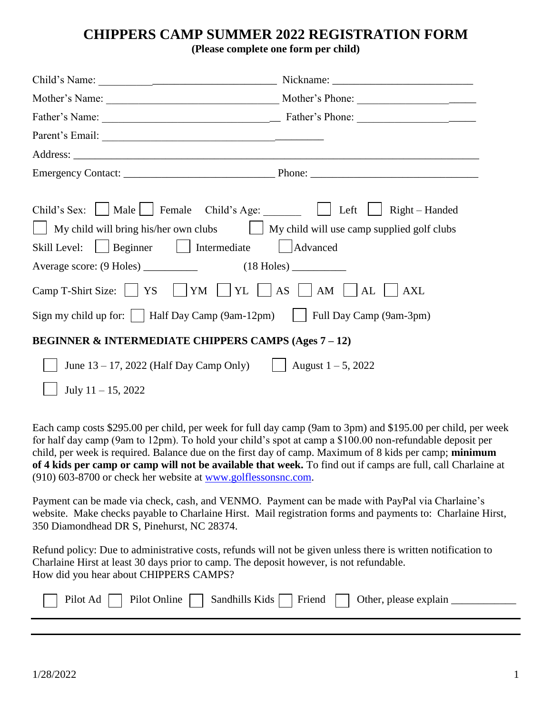## **CHIPPERS CAMP SUMMER 2022 REGISTRATION FORM**

**(Please complete one form per child)**

| Child's Sex: Male Female Child's Age: Left Right – Handed                                      |          |  |  |  |
|------------------------------------------------------------------------------------------------|----------|--|--|--|
| $\Box$ My child will bring his/her own clubs $\Box$ My child will use camp supplied golf clubs |          |  |  |  |
| $\Box$ Beginner $\Box$ Intermediate<br>Skill Level:                                            | Advanced |  |  |  |
|                                                                                                |          |  |  |  |
| Camp T-Shirt Size: $\vert$   YS     YM     YL     AS     AM     AL    <br><b>AXL</b>           |          |  |  |  |
| Sign my child up for: $\vert$   Half Day Camp (9am-12pm) $\vert$   Full Day Camp (9am-3pm)     |          |  |  |  |
| <b>BEGINNER &amp; INTERMEDIATE CHIPPERS CAMPS (Ages 7 – 12)</b>                                |          |  |  |  |
| June 13 – 17, 2022 (Half Day Camp Only) $\left  \right $ August 1 – 5, 2022                    |          |  |  |  |
| July $11 - 15$ , 2022                                                                          |          |  |  |  |

Each camp costs \$295.00 per child, per week for full day camp (9am to 3pm) and \$195.00 per child, per week for half day camp (9am to 12pm). To hold your child's spot at camp a \$100.00 non-refundable deposit per child, per week is required. Balance due on the first day of camp. Maximum of 8 kids per camp; **minimum of 4 kids per camp or camp will not be available that week.** To find out if camps are full, call Charlaine at (910) 603-8700 or check her website at [www.golflessonsnc.com.](http://www.golflessonsnc.com/)

Payment can be made via check, cash, and VENMO. Payment can be made with PayPal via Charlaine's website. Make checks payable to Charlaine Hirst. Mail registration forms and payments to: Charlaine Hirst, 350 Diamondhead DR S, Pinehurst, NC 28374.

Refund policy: Due to administrative costs, refunds will not be given unless there is written notification to Charlaine Hirst at least 30 days prior to camp. The deposit however, is not refundable. How did you hear about CHIPPERS CAMPS?

| $\Box$ Pilot Ad $\Box$ Pilot Online $\Box$ | $\Box$ Sandhills Kids $\Box$ Friend $\Box$ Other, please explain |  |  |
|--------------------------------------------|------------------------------------------------------------------|--|--|
|                                            |                                                                  |  |  |